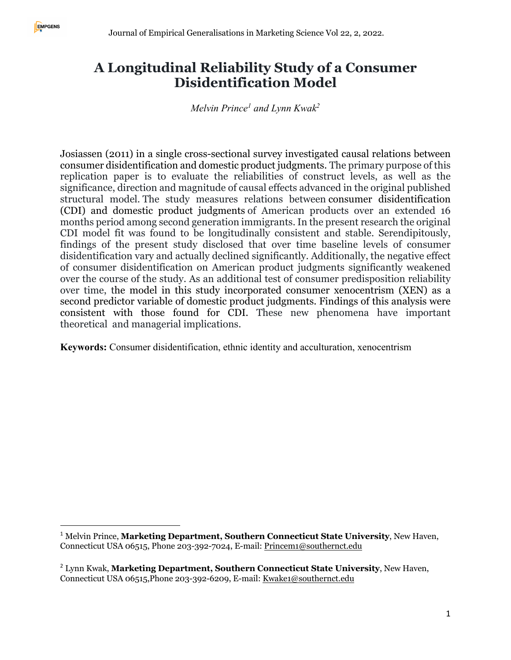# **A Longitudinal Reliability Study of a Consumer Disidentification Model**

*Melvin Prince1 and Lynn Kwak2*

Josiassen (2011) in a single cross-sectional survey investigated causal relations between consumer disidentification and domestic product judgments. The primary purpose of this replication paper is to evaluate the reliabilities of construct levels, as well as the significance, direction and magnitude of causal effects advanced in the original published structural model. The study measures relations between consumer disidentification (CDI) and domestic product judgments of American products over an extended 16 months period among second generation immigrants. In the present research the original CDI model fit was found to be longitudinally consistent and stable. Serendipitously, findings of the present study disclosed that over time baseline levels of consumer disidentification vary and actually declined significantly. Additionally, the negative effect of consumer disidentification on American product judgments significantly weakened over the course of the study. As an additional test of consumer predisposition reliability over time, the model in this study incorporated consumer xenocentrism (XEN) as a second predictor variable of domestic product judgments. Findings of this analysis were consistent with those found for CDI. These new phenomena have important theoretical and managerial implications.

**Keywords:** Consumer disidentification, ethnic identity and acculturation, xenocentrism

<sup>1</sup> Melvin Prince, **Marketing Department, Southern Connecticut State University**, New Haven, Connecticut USA 06515, Phone 203-392-7024, E-mail: Princem1@southernct.edu

<sup>2</sup> Lynn Kwak, **Marketing Department, Southern Connecticut State University**, New Haven, Connecticut USA 06515,Phone 203-392-6209, E-mail: Kwake1@southernct.edu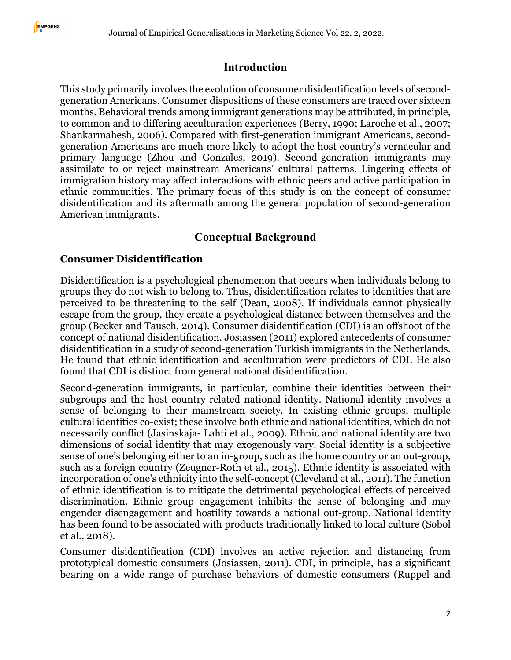#### **Introduction**

This study primarily involves the evolution of consumer disidentification levels of secondgeneration Americans. Consumer dispositions of these consumers are traced over sixteen months. Behavioral trends among immigrant generations may be attributed, in principle, to common and to differing acculturation experiences (Berry, 1990; Laroche et al., 2007; Shankarmahesh, 2006). Compared with first-generation immigrant Americans, secondgeneration Americans are much more likely to adopt the host country's vernacular and primary language (Zhou and Gonzales, 2019). Second-generation immigrants may assimilate to or reject mainstream Americans' cultural patterns. Lingering effects of immigration history may affect interactions with ethnic peers and active participation in ethnic communities. The primary focus of this study is on the concept of consumer disidentification and its aftermath among the general population of second-generation American immigrants.

## **Conceptual Background**

#### **Consumer Disidentification**

Disidentification is a psychological phenomenon that occurs when individuals belong to groups they do not wish to belong to. Thus, disidentification relates to identities that are perceived to be threatening to the self (Dean, 2008). If individuals cannot physically escape from the group, they create a psychological distance between themselves and the group (Becker and Tausch, 2014). Consumer disidentification (CDI) is an offshoot of the concept of national disidentification. Josiassen (2011) explored antecedents of consumer disidentification in a study of second-generation Turkish immigrants in the Netherlands. He found that ethnic identification and acculturation were predictors of CDI. He also found that CDI is distinct from general national disidentification.

Second-generation immigrants, in particular, combine their identities between their subgroups and the host country-related national identity. National identity involves a sense of belonging to their mainstream society. In existing ethnic groups, multiple cultural identities co-exist; these involve both ethnic and national identities, which do not necessarily conflict (Jasinskaja- Lahti et al., 2009). Ethnic and national identity are two dimensions of social identity that may exogenously vary. Social identity is a subjective sense of one's belonging either to an in-group, such as the home country or an out-group, such as a foreign country (Zeugner-Roth et al., 2015). Ethnic identity is associated with incorporation of one's ethnicity into the self-concept (Cleveland et al., 2011). The function of ethnic identification is to mitigate the detrimental psychological effects of perceived discrimination. Ethnic group engagement inhibits the sense of belonging and may engender disengagement and hostility towards a national out-group. National identity has been found to be associated with products traditionally linked to local culture (Sobol et al., 2018).

Consumer disidentification (CDI) involves an active rejection and distancing from prototypical domestic consumers (Josiassen, 2011). CDI, in principle, has a significant bearing on a wide range of purchase behaviors of domestic consumers (Ruppel and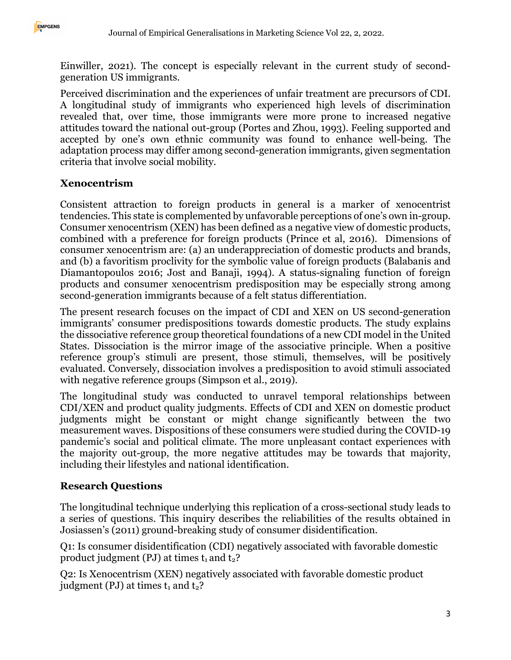Einwiller, 2021). The concept is especially relevant in the current study of secondgeneration US immigrants.

Perceived discrimination and the experiences of unfair treatment are precursors of CDI. A longitudinal study of immigrants who experienced high levels of discrimination revealed that, over time, those immigrants were more prone to increased negative attitudes toward the national out-group (Portes and Zhou, 1993). Feeling supported and accepted by one's own ethnic community was found to enhance well-being. The adaptation process may differ among second-generation immigrants, given segmentation criteria that involve social mobility.

#### **Xenocentrism**

Consistent attraction to foreign products in general is a marker of xenocentrist tendencies. This state is complemented by unfavorable perceptions of one's own in-group. Consumer xenocentrism (XEN) has been defined as a negative view of domestic products, combined with a preference for foreign products (Prince et al, 2016). Dimensions of consumer xenocentrism are: (a) an underappreciation of domestic products and brands, and (b) a favoritism proclivity for the symbolic value of foreign products (Balabanis and Diamantopoulos 2016; Jost and Banaji, 1994). A status-signaling function of foreign products and consumer xenocentrism predisposition may be especially strong among second-generation immigrants because of a felt status differentiation.

The present research focuses on the impact of CDI and XEN on US second-generation immigrants' consumer predispositions towards domestic products. The study explains the dissociative reference group theoretical foundations of a new CDI model in the United States. Dissociation is the mirror image of the associative principle. When a positive reference group's stimuli are present, those stimuli, themselves, will be positively evaluated. Conversely, dissociation involves a predisposition to avoid stimuli associated with negative reference groups (Simpson et al., 2019).

The longitudinal study was conducted to unravel temporal relationships between CDI/XEN and product quality judgments. Effects of CDI and XEN on domestic product judgments might be constant or might change significantly between the two measurement waves. Dispositions of these consumers were studied during the COVID-19 pandemic's social and political climate. The more unpleasant contact experiences with the majority out-group, the more negative attitudes may be towards that majority, including their lifestyles and national identification.

#### **Research Questions**

The longitudinal technique underlying this replication of a cross-sectional study leads to a series of questions. This inquiry describes the reliabilities of the results obtained in Josiassen's (2011) ground-breaking study of consumer disidentification.

Q1: Is consumer disidentification (CDI) negatively associated with favorable domestic product judgment (PJ) at times  $t_1$  and  $t_2$ ?

Q2: Is Xenocentrism (XEN) negatively associated with favorable domestic product judgment (PJ) at times  $t_1$  and  $t_2$ ?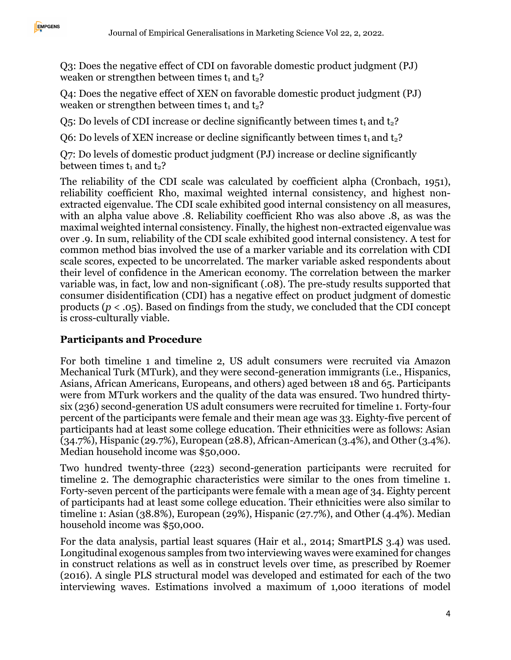Q3: Does the negative effect of CDI on favorable domestic product judgment (PJ) weaken or strengthen between times  $t_1$  and  $t_2$ ?

Q4: Does the negative effect of XEN on favorable domestic product judgment (PJ) weaken or strengthen between times  $t_1$  and  $t_2$ ?

 $Q_5$ : Do levels of CDI increase or decline significantly between times  $t_1$  and  $t_2$ ?

Q6: Do levels of XEN increase or decline significantly between times  $t_1$  and  $t_2$ ?

Q7: Do levels of domestic product judgment (PJ) increase or decline significantly between times  $t_1$  and  $t_2$ ?

The reliability of the CDI scale was calculated by coefficient alpha (Cronbach, 1951), reliability coefficient Rho, maximal weighted internal consistency, and highest nonextracted eigenvalue. The CDI scale exhibited good internal consistency on all measures, with an alpha value above .8. Reliability coefficient Rho was also above .8, as was the maximal weighted internal consistency. Finally, the highest non-extracted eigenvalue was over .9. In sum, reliability of the CDI scale exhibited good internal consistency. A test for common method bias involved the use of a marker variable and its correlation with CDI scale scores, expected to be uncorrelated. The marker variable asked respondents about their level of confidence in the American economy. The correlation between the marker variable was, in fact, low and non-significant (.08). The pre-study results supported that consumer disidentification (CDI) has a negative effect on product judgment of domestic products ( $p < .05$ ). Based on findings from the study, we concluded that the CDI concept is cross-culturally viable.

## **Participants and Procedure**

For both timeline 1 and timeline 2, US adult consumers were recruited via Amazon Mechanical Turk (MTurk), and they were second-generation immigrants (i.e., Hispanics, Asians, African Americans, Europeans, and others) aged between 18 and 65. Participants were from MTurk workers and the quality of the data was ensured. Two hundred thirtysix (236) second-generation US adult consumers were recruited for timeline 1. Forty-four percent of the participants were female and their mean age was 33. Eighty-five percent of participants had at least some college education. Their ethnicities were as follows: Asian (34.7%), Hispanic (29.7%), European (28.8), African-American (3.4%), and Other (3.4%). Median household income was \$50,000.

Two hundred twenty-three (223) second-generation participants were recruited for timeline 2. The demographic characteristics were similar to the ones from timeline 1. Forty-seven percent of the participants were female with a mean age of 34. Eighty percent of participants had at least some college education. Their ethnicities were also similar to timeline 1: Asian (38.8%), European (29%), Hispanic (27.7%), and Other (4.4%). Median household income was \$50,000.

For the data analysis, partial least squares (Hair et al., 2014; SmartPLS 3.4) was used. Longitudinal exogenous samples from two interviewing waves were examined for changes in construct relations as well as in construct levels over time, as prescribed by Roemer (2016). A single PLS structural model was developed and estimated for each of the two interviewing waves. Estimations involved a maximum of 1,000 iterations of model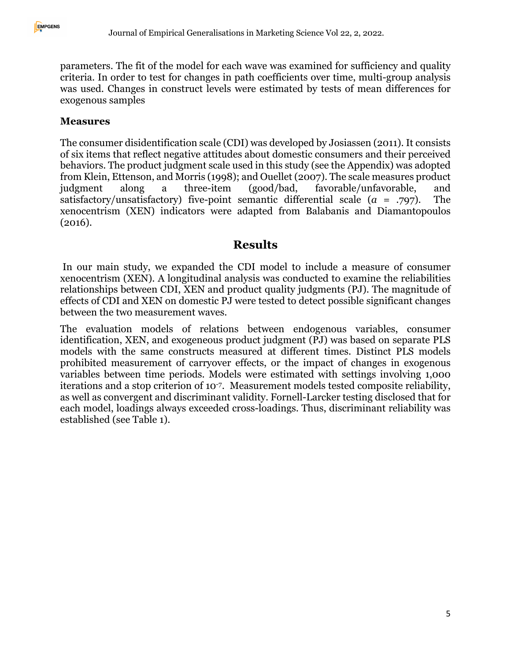parameters. The fit of the model for each wave was examined for sufficiency and quality criteria. In order to test for changes in path coefficients over time, multi-group analysis was used. Changes in construct levels were estimated by tests of mean differences for exogenous samples

#### **Measures**

The consumer disidentification scale (CDI) was developed by Josiassen (2011). It consists of six items that reflect negative attitudes about domestic consumers and their perceived behaviors. The product judgment scale used in this study (see the Appendix) was adopted from Klein, Ettenson, and Morris (1998); and Ouellet (2007). The scale measures product judgment along a three-item (good/bad, favorable/unfavorable, and satisfactory/unsatisfactory) five-point semantic differential scale (*a* = .797). The xenocentrism (XEN) indicators were adapted from Balabanis and Diamantopoulos (2016).

## **Results**

In our main study, we expanded the CDI model to include a measure of consumer xenocentrism (XEN). A longitudinal analysis was conducted to examine the reliabilities relationships between CDI, XEN and product quality judgments (PJ). The magnitude of effects of CDI and XEN on domestic PJ were tested to detect possible significant changes between the two measurement waves.

The evaluation models of relations between endogenous variables, consumer identification, XEN, and exogeneous product judgment (PJ) was based on separate PLS models with the same constructs measured at different times. Distinct PLS models prohibited measurement of carryover effects, or the impact of changes in exogenous variables between time periods. Models were estimated with settings involving 1,000 iterations and a stop criterion of 10-7. Measurement models tested composite reliability, as well as convergent and discriminant validity. Fornell-Larcker testing disclosed that for each model, loadings always exceeded cross-loadings. Thus, discriminant reliability was established (see Table 1).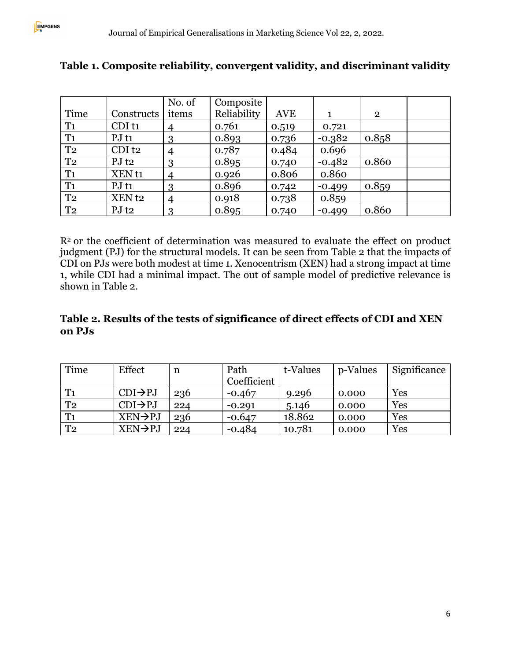|                |                      | No. of         | Composite   |            |          |                |  |
|----------------|----------------------|----------------|-------------|------------|----------|----------------|--|
| Time           | Constructs           | items          | Reliability | <b>AVE</b> | 1        | $\overline{2}$ |  |
| T <sub>1</sub> | CDI <sub>t1</sub>    | 4              | 0.761       | 0.519      | 0.721    |                |  |
| T <sub>1</sub> | $PJ$ t <sub>1</sub>  | 3              | 0.893       | 0.736      | $-0.382$ | 0.858          |  |
| T <sub>2</sub> | $CDI$ t <sub>2</sub> | 4              | 0.787       | 0.484      | 0.696    |                |  |
| T <sub>2</sub> | $PJ$ t <sub>2</sub>  | 3              | 0.895       | 0.740      | $-0.482$ | 0.860          |  |
| T <sub>1</sub> | XEN <sub>t1</sub>    | $\overline{4}$ | 0.926       | 0.806      | 0.860    |                |  |
| T <sub>1</sub> | PJt1                 | 3              | 0.896       | 0.742      | $-0.499$ | 0.859          |  |
| T <sub>2</sub> | XEN <sub>t2</sub>    | $\overline{4}$ | 0.918       | 0.738      | 0.859    |                |  |
| T <sub>2</sub> | $PJ$ t <sub>2</sub>  | 3              | 0.895       | 0.740      | $-0.499$ | 0.860          |  |

## **Table 1. Composite reliability, convergent validity, and discriminant validity**

R<sup>2</sup> or the coefficient of determination was measured to evaluate the effect on product judgment (PJ) for the structural models. It can be seen from Table 2 that the impacts of CDI on PJs were both modest at time 1. Xenocentrism (XEN) had a strong impact at time 1, while CDI had a minimal impact. The out of sample model of predictive relevance is shown in Table 2.

#### **Table 2. Results of the tests of significance of direct effects of CDI and XEN on PJs**

| Time           | Effect               | n   | Path<br>Coefficient | t-Values | p-Values | Significance |
|----------------|----------------------|-----|---------------------|----------|----------|--------------|
| T <sub>1</sub> | $CDI \rightarrow PJ$ | 236 | $-0.467$            | 9.296    | 0.000    | Yes          |
| T <sub>2</sub> | $CDI \rightarrow PJ$ | 224 | $-0.291$            | 5.146    | 0.000    | Yes          |
| T <sub>1</sub> | $XEN \rightarrow PJ$ | 236 | $-0.647$            | 18.862   | 0.000    | Yes          |
| T <sub>2</sub> | $XEN \rightarrow PJ$ | 224 | $-0.484$            | 10.781   | 0.000    | Yes          |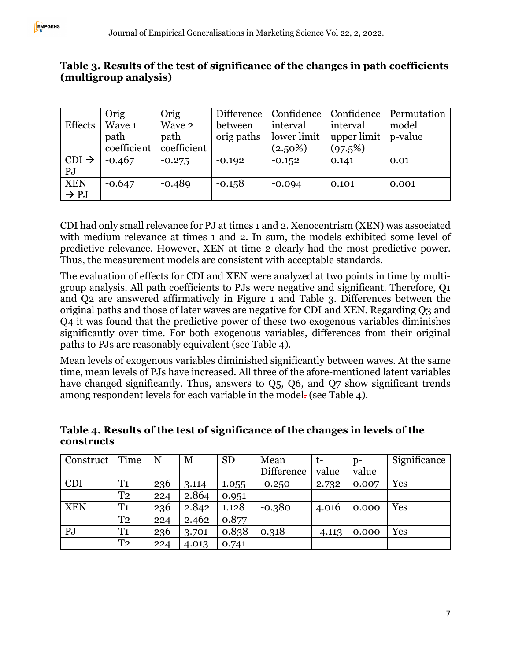#### **Table 3. Results of the test of significance of the changes in path coefficients (multigroup analysis)**

|                   | Orig        | Orig        | Difference | Confidence  | Confidence              | Permutation |
|-------------------|-------------|-------------|------------|-------------|-------------------------|-------------|
| <b>Effects</b>    | Wave 1      | Wave 2      | between    | interval    | interval                | model       |
|                   | path        | path        | orig paths | lower limit | upper limit $ p$ -value |             |
|                   | coefficient | coefficient |            | $(2.50\%)$  | (97.5%)                 |             |
| $CDI \rightarrow$ | $-0.467$    | $-0.275$    | $-0.192$   | $-0.152$    | 0.141                   | 0.01        |
| PJ                |             |             |            |             |                         |             |
| <b>XEN</b>        | $-0.647$    | $-0.489$    | $-0.158$   | $-0.094$    | 0.101                   | 0.001       |
| $\rightarrow$ PJ  |             |             |            |             |                         |             |

CDI had only small relevance for PJ at times 1 and 2. Xenocentrism (XEN) was associated with medium relevance at times 1 and 2. In sum, the models exhibited some level of predictive relevance. However, XEN at time 2 clearly had the most predictive power. Thus, the measurement models are consistent with acceptable standards.

The evaluation of effects for CDI and XEN were analyzed at two points in time by multigroup analysis. All path coefficients to PJs were negative and significant. Therefore, Q1 and Q2 are answered affirmatively in Figure 1 and Table 3. Differences between the original paths and those of later waves are negative for CDI and XEN. Regarding Q3 and Q4 it was found that the predictive power of these two exogenous variables diminishes significantly over time. For both exogenous variables, differences from their original paths to PJs are reasonably equivalent (see Table 4).

Mean levels of exogenous variables diminished significantly between waves. At the same time, mean levels of PJs have increased. All three of the afore-mentioned latent variables have changed significantly. Thus, answers to Q5, Q6, and Q7 show significant trends among respondent levels for each variable in the model- (see Table 4).

| Construct  | Time           | N   | M     | <b>SD</b> | Mean       | t-       | $p-$  | Significance |
|------------|----------------|-----|-------|-----------|------------|----------|-------|--------------|
|            |                |     |       |           | Difference | value    | value |              |
| <b>CDI</b> | T <sub>1</sub> | 236 | 3.114 | 1.055     | $-0.250$   | 2.732    | 0.007 | Yes          |
|            | T <sub>2</sub> | 224 | 2.864 | 0.951     |            |          |       |              |
| <b>XEN</b> | T <sub>1</sub> | 236 | 2.842 | 1.128     | $-0.380$   | 4.016    | 0.000 | Yes          |
|            | T <sub>2</sub> | 224 | 2.462 | 0.877     |            |          |       |              |
| PJ         | T <sub>1</sub> | 236 | 3.701 | 0.838     | 0.318      | $-4.113$ | 0.000 | Yes          |
|            | T <sub>2</sub> | 224 | 4.013 | 0.741     |            |          |       |              |

#### **Table 4. Results of the test of significance of the changes in levels of the constructs**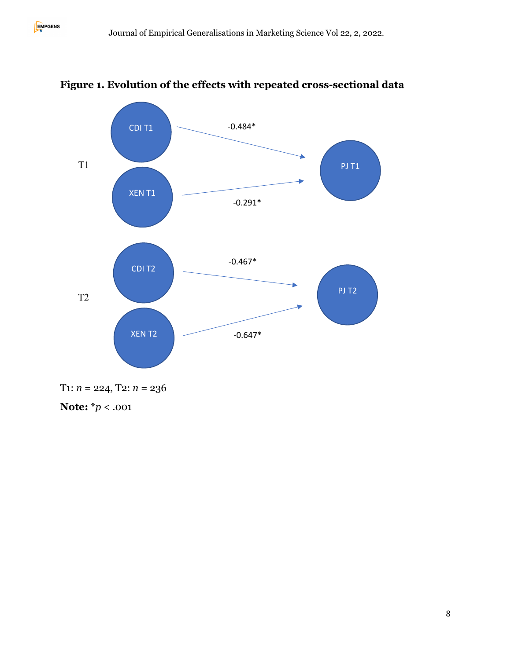

## **Figure 1. Evolution of the effects with repeated cross-sectional data**

**Note:** \**p* < .001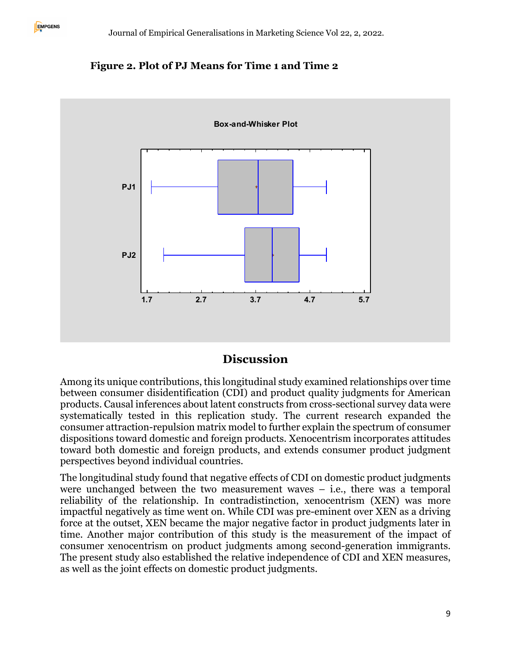



#### **Discussion**

Among its unique contributions, this longitudinal study examined relationships over time between consumer disidentification (CDI) and product quality judgments for American products. Causal inferences about latent constructs from cross-sectional survey data were systematically tested in this replication study. The current research expanded the consumer attraction-repulsion matrix model to further explain the spectrum of consumer dispositions toward domestic and foreign products. Xenocentrism incorporates attitudes toward both domestic and foreign products, and extends consumer product judgment perspectives beyond individual countries.

The longitudinal study found that negative effects of CDI on domestic product judgments were unchanged between the two measurement waves  $-$  i.e., there was a temporal reliability of the relationship. In contradistinction, xenocentrism (XEN) was more impactful negatively as time went on. While CDI was pre-eminent over XEN as a driving force at the outset, XEN became the major negative factor in product judgments later in time. Another major contribution of this study is the measurement of the impact of consumer xenocentrism on product judgments among second-generation immigrants. The present study also established the relative independence of CDI and XEN measures, as well as the joint effects on domestic product judgments.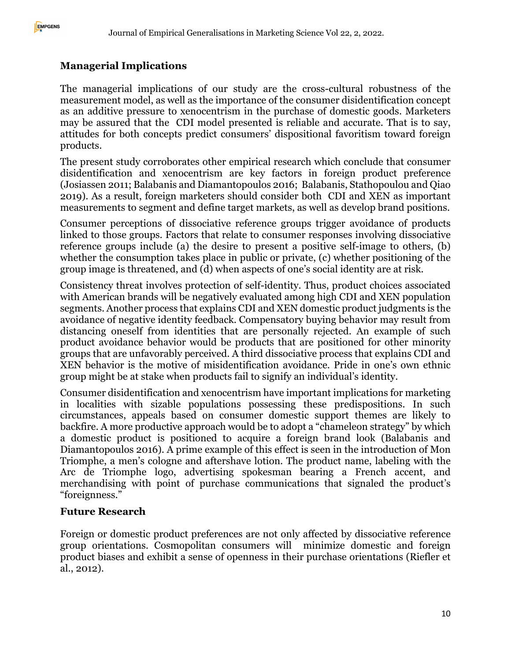## **Managerial Implications**

The managerial implications of our study are the cross-cultural robustness of the measurement model, as well as the importance of the consumer disidentification concept as an additive pressure to xenocentrism in the purchase of domestic goods. Marketers may be assured that the CDI model presented is reliable and accurate. That is to say, attitudes for both concepts predict consumers' dispositional favoritism toward foreign products.

The present study corroborates other empirical research which conclude that consumer disidentification and xenocentrism are key factors in foreign product preference (Josiassen 2011; Balabanis and Diamantopoulos 2016; Balabanis, Stathopoulou and Qiao 2019). As a result, foreign marketers should consider both CDI and XEN as important measurements to segment and define target markets, as well as develop brand positions.

Consumer perceptions of dissociative reference groups trigger avoidance of products linked to those groups. Factors that relate to consumer responses involving dissociative reference groups include (a) the desire to present a positive self-image to others, (b) whether the consumption takes place in public or private, (c) whether positioning of the group image is threatened, and (d) when aspects of one's social identity are at risk.

Consistency threat involves protection of self-identity. Thus, product choices associated with American brands will be negatively evaluated among high CDI and XEN population segments. Another process that explains CDI and XEN domestic product judgments is the avoidance of negative identity feedback. Compensatory buying behavior may result from distancing oneself from identities that are personally rejected. An example of such product avoidance behavior would be products that are positioned for other minority groups that are unfavorably perceived. A third dissociative process that explains CDI and XEN behavior is the motive of misidentification avoidance. Pride in one's own ethnic group might be at stake when products fail to signify an individual's identity.

Consumer disidentification and xenocentrism have important implications for marketing in localities with sizable populations possessing these predispositions. In such circumstances, appeals based on consumer domestic support themes are likely to backfire. A more productive approach would be to adopt a "chameleon strategy" by which a domestic product is positioned to acquire a foreign brand look (Balabanis and Diamantopoulos 2016). A prime example of this effect is seen in the introduction of Mon Triomphe, a men's cologne and aftershave lotion. The product name, labeling with the Arc de Triomphe logo, advertising spokesman bearing a French accent, and merchandising with point of purchase communications that signaled the product's "foreignness."

#### **Future Research**

Foreign or domestic product preferences are not only affected by dissociative reference group orientations. Cosmopolitan consumers will minimize domestic and foreign product biases and exhibit a sense of openness in their purchase orientations (Riefler et al., 2012).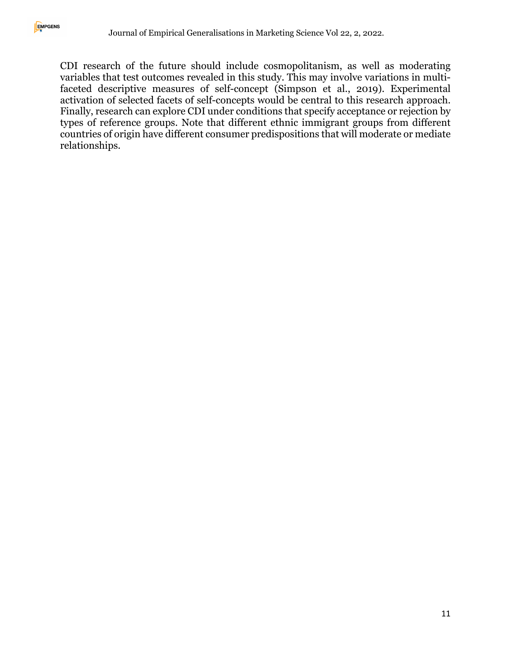CDI research of the future should include cosmopolitanism, as well as moderating variables that test outcomes revealed in this study. This may involve variations in multifaceted descriptive measures of self-concept (Simpson et al., 2019). Experimental activation of selected facets of self-concepts would be central to this research approach. Finally, research can explore CDI under conditions that specify acceptance or rejection by types of reference groups. Note that different ethnic immigrant groups from different countries of origin have different consumer predispositions that will moderate or mediate relationships.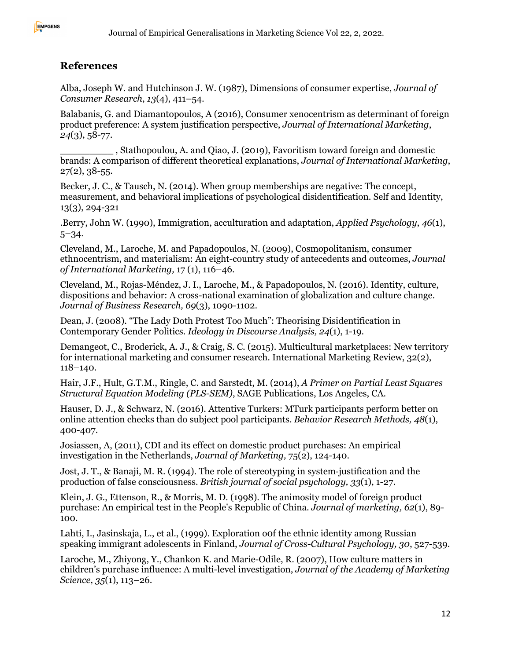#### **References**

Alba, Joseph W. and Hutchinson J. W. (1987), Dimensions of consumer expertise, *Journal of Consumer Research*, *13*(4), 411–54.

Balabanis, G. and Diamantopoulos, A (2016), Consumer xenocentrism as determinant of foreign product preference: A system justification perspective, *Journal of International Marketing*, *24*(3), 58-77.

\_\_\_\_\_\_\_\_\_ , Stathopoulou, A. and Qiao, J. (2019), Favoritism toward foreign and domestic brands: A comparison of different theoretical explanations, *Journal of International Marketing*,  $27(2)$ ,  $38-55$ .

Becker, J. C., & Tausch, N. (2014). When group memberships are negative: The concept, measurement, and behavioral implications of psychological disidentification. Self and Identity, 13(3), 294-321

.Berry, John W. (1990), Immigration, acculturation and adaptation, *Applied Psychology*, *46*(1), 5–34.

Cleveland, M., Laroche, M. and Papadopoulos, N. (2009), Cosmopolitanism, consumer ethnocentrism, and materialism: An eight-country study of antecedents and outcomes, *Journal of International Marketing,* 17 (1), 116–46.

Cleveland, M., Rojas-Méndez, J. I., Laroche, M., & Papadopoulos, N. (2016). Identity, culture, dispositions and behavior: A cross-national examination of globalization and culture change. *Journal of Business Research, 69*(3), 1090-1102.

Dean, J. (2008). "The Lady Doth Protest Too Much": Theorising Disidentification in Contemporary Gender Politics. *Ideology in Discourse Analysis, 24*(1), 1-19.

Demangeot, C., Broderick, A. J., & Craig, S. C. (2015). Multicultural marketplaces: New territory for international marketing and consumer research. International Marketing Review, 32(2), 118–140.

Hair, J.F., Hult, G.T.M., Ringle, C. and Sarstedt, M. (2014), *A Primer on Partial Least Squares Structural Equation Modeling (PLS-SEM)*, SAGE Publications, Los Angeles, CA.

Hauser, D. J., & Schwarz, N. (2016). Attentive Turkers: MTurk participants perform better on online attention checks than do subject pool participants. *Behavior Research Methods, 48*(1), 400-407.

Josiassen, A, (2011), CDI and its effect on domestic product purchases: An empirical investigation in the Netherlands, *Journal of Marketing,* 75(2), 124-140.

Jost, J. T., & Banaji, M. R. (1994). The role of stereotyping in system-justification and the production of false consciousness. *British journal of social psychology, 33*(1), 1-27.

Klein, J. G., Ettenson, R., & Morris, M. D. (1998). The animosity model of foreign product purchase: An empirical test in the People's Republic of China. *Journal of marketing, 62*(1), 89- 100.

Lahti, I., Jasinskaja, L., et al., (1999). Exploration oof the ethnic identity among Russian speaking immigrant adolescents in Finland, *Journal of Cross-Cultural Psychology, 30*, 527-539.

Laroche, M., Zhiyong, Y., Chankon K. and Marie-Odile, R. (2007), How culture matters in children's purchase influence: A multi-level investigation, *Journal of the Academy of Marketing Science*, *35*(1), 113–26.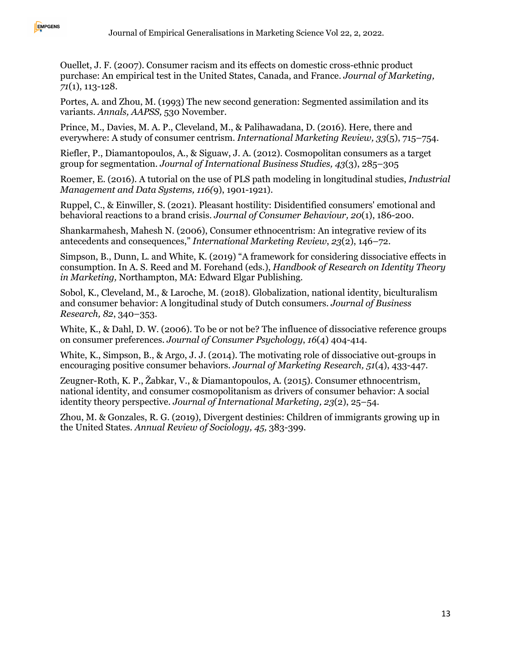

Ouellet, J. F. (2007). Consumer racism and its effects on domestic cross-ethnic product purchase: An empirical test in the United States, Canada, and France. *Journal of Marketing, 71*(1), 113-128.

Portes, A. and Zhou, M. (1993) The new second generation: Segmented assimilation and its variants. *Annals, AAPSS,* 530 November.

Prince, M., Davies, M. A. P., Cleveland, M., & Palihawadana, D. (2016). Here, there and everywhere: A study of consumer centrism. *International Marketing Review, 33*(5), 715–754.

Riefler, P., Diamantopoulos, A., & Siguaw, J. A. (2012). Cosmopolitan consumers as a target group for segmentation. *Journal of International Business Studies, 43*(3), 285–305

Roemer, E. (2016). A tutorial on the use of PLS path modeling in longitudinal studies, *Industrial Management and Data Systems, 116(*9), 1901-1921).

Ruppel, C., & Einwiller, S. (2021). Pleasant hostility: Disidentified consumers' emotional and behavioral reactions to a brand crisis. *Journal of Consumer Behaviour, 20*(1), 186-200.

Shankarmahesh, Mahesh N. (2006), Consumer ethnocentrism: An integrative review of its antecedents and consequences," *International Marketing Review*, *23*(2), 146–72.

Simpson, B., Dunn, L. and White, K. (2019) "A framework for considering dissociative effects in consumption. In A. S. Reed and M. Forehand (eds.), *Handbook of Research on Identity Theory in Marketing,* Northampton, MA: Edward Elgar Publishing.

Sobol, K., Cleveland, M., & Laroche, M. (2018). Globalization, national identity, biculturalism and consumer behavior: A longitudinal study of Dutch consumers. *Journal of Business Research, 82*, 340–353.

White, K., & Dahl, D. W. (2006). To be or not be? The influence of dissociative reference groups on consumer preferences. *Journal of Consumer Psychology*, *16*(4) 404-414.

White, K., Simpson, B., & Argo, J. J. (2014). The motivating role of dissociative out-groups in encouraging positive consumer behaviors. *Journal of Marketing Research, 51*(4), 433-447.

Zeugner-Roth, K. P., Žabkar, V., & Diamantopoulos, A. (2015). Consumer ethnocentrism, national identity, and consumer cosmopolitanism as drivers of consumer behavior: A social identity theory perspective. *Journal of International Marketing, 23*(2), 25–54.

Zhou, M. & Gonzales, R. G. (2019), Divergent destinies: Children of immigrants growing up in the United States. *Annual Review of Sociology, 45,* 383-399.